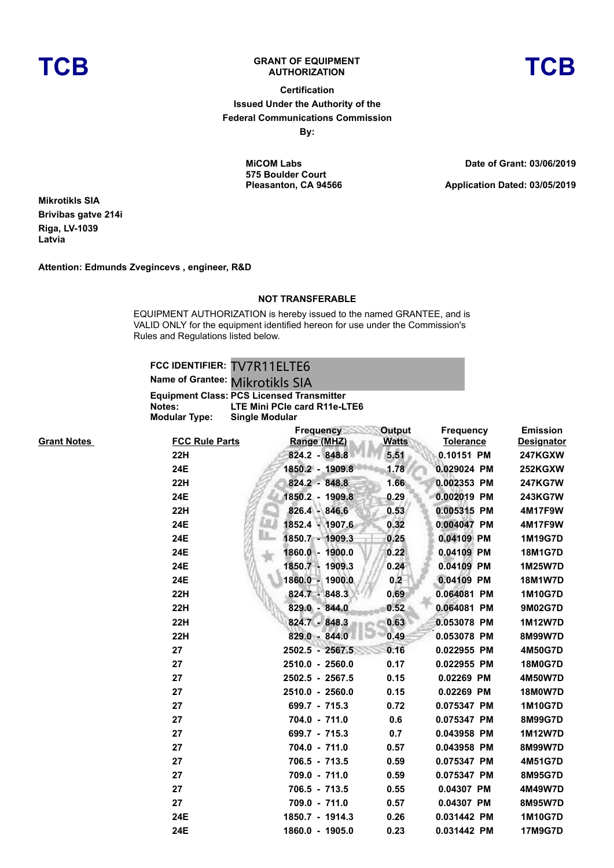

## **TCB GRANT OF EQUIPMENT**

**AUTHORIZATION TCB**

## **Certification Issued Under the Authority of the Federal Communications Commission**

**By:**

**MiCOM Labs 575 Boulder Court Pleasanton, CA 94566** **Date of Grant: 03/06/2019**

**Application Dated: 03/05/2019**

**Mikrotikls SIA Brivibas gatve 214i Riga, LV-1039 Latvia**

**Attention: Edmunds Zvegincevs , engineer, R&D**

## **NOT TRANSFERABLE**

EQUIPMENT AUTHORIZATION is hereby issued to the named GRANTEE, and is VALID ONLY for the equipment identified hereon for use under the Commission's Rules and Regulations listed below.

|               | FCC IDENTIFIER: TV7R11ELTE6               |
|---------------|-------------------------------------------|
|               | Name of Grantee: Mikrotikls SIA           |
|               | Equipment Class: PCS Licensed Transmitter |
| Notes:        | LTE Mini PCIe card R11e-LTE6              |
| Modular Type: | <b>Single Modular</b>                     |
|               |                                           |

| <b>Grant Notes</b> | <b>FCC Rule Parts</b> | <b>Frequency</b><br>Range (MHZ) | Output<br><b>Watts</b> | <b>Frequency</b><br><b>Tolerance</b> | <b>Emission</b><br><b>Designator</b> |
|--------------------|-----------------------|---------------------------------|------------------------|--------------------------------------|--------------------------------------|
|                    | 22H                   | 824.2 - 848.8                   | 5.51                   | 0.10151 PM                           | <b>247KGXW</b>                       |
|                    | 24E                   | 1850.2 - 1909.8                 | 1.78                   | 0.029024 PM                          | 252KGXW                              |
|                    | <b>22H</b>            | 824.2 - 848.8                   | 1.66                   | 0.002353 PM                          | <b>247KG7W</b>                       |
|                    | 24E                   | 1850.2 - 1909.8                 | 0.29                   | 0.002019 PM                          | 243KG7W                              |
|                    | <b>22H</b>            | 826.4 - 846.6                   | 0.53                   | 0.005315 PM                          | 4M17F9W                              |
|                    | 24E                   | 1852.4 - 1907.6                 | 0.32                   | 0.004047 PM                          | 4M17F9W                              |
|                    | 24E                   | ш.<br>1850.7 - 1909.3           | 0.25                   | 0.04109 PM                           | 1M19G7D                              |
|                    | 24E                   | 1860.0 - 1900.0                 | 0.22                   | 0.04109 PM                           | 18M1G7D                              |
|                    | 24E                   | 1850.7 - 1909.3                 | 0.24                   | 0.04109 PM                           | 1M25W7D                              |
|                    | 24E                   | 1860.0 - 1900.0                 | 0.2                    | 0.04109 PM                           | 18M1W7D                              |
|                    | <b>22H</b>            | 824.7 - 848.3                   | 0.69                   | 0.064081 PM                          | 1M10G7D                              |
|                    | <b>22H</b>            | 829.0 - 844.0                   | 0.52                   | 0.064081 PM                          | 9M02G7D                              |
|                    | <b>22H</b>            | 824.7 - 848.3                   | 0.63                   | 0.053078 PM                          | 1M12W7D                              |
|                    | <b>22H</b>            | 829.0 - 844.0                   | 0.49                   | 0.053078 PM                          | 8M99W7D                              |
|                    | 27                    | 2502.5 - 2567.5                 | 0.16                   | 0.022955 PM                          | 4M50G7D                              |
|                    | 27                    | 2510.0 - 2560.0                 | 0.17                   | 0.022955 PM                          | <b>18M0G7D</b>                       |
|                    | 27                    | 2502.5 - 2567.5                 | 0.15                   | 0.02269 PM                           | 4M50W7D                              |
|                    | 27                    | 2510.0 - 2560.0                 | 0.15                   | 0.02269 PM                           | <b>18M0W7D</b>                       |
|                    | 27                    | 699.7 - 715.3                   | 0.72                   | 0.075347 PM                          | 1M10G7D                              |
|                    | 27                    | 704.0 - 711.0                   | 0.6                    | 0.075347 PM                          | 8M99G7D                              |
|                    | 27                    | 699.7 - 715.3                   | 0.7                    | 0.043958 PM                          | 1M12W7D                              |
|                    | 27                    | 704.0 - 711.0                   | 0.57                   | 0.043958 PM                          | 8M99W7D                              |
|                    | 27                    | 706.5 - 713.5                   | 0.59                   | 0.075347 PM                          | 4M51G7D                              |
|                    | 27                    | 709.0 - 711.0                   | 0.59                   | 0.075347 PM                          | 8M95G7D                              |
|                    | 27                    | 706.5 - 713.5                   | 0.55                   | 0.04307 PM                           | 4M49W7D                              |
|                    | 27                    | 709.0 - 711.0                   | 0.57                   | 0.04307 PM                           | 8M95W7D                              |
|                    | 24E                   | 1850.7 - 1914.3                 | 0.26                   | 0.031442 PM                          | 1M10G7D                              |
|                    | 24E                   | 1860.0 - 1905.0                 | 0.23                   | 0.031442 PM                          | 17M9G7D                              |